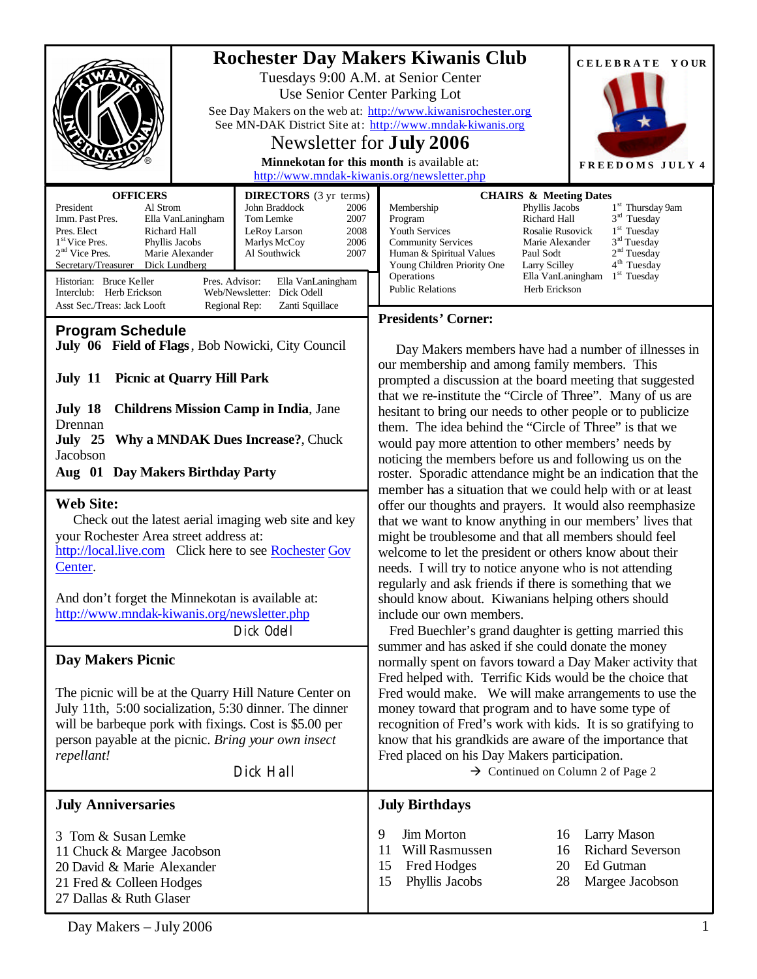|                                                                                                                                                                                                                                                                                                                                                                                                                                                                                                                                                                                                            |                                                                                                                                                                                                        |                                                                                                                                                                                                                                                                                                                                                                                                                                                                                                                                                                                                                                                                                                                                                                                                                                                                                                                                                                                                                                                                                                                                                                                                                                                                                                                                                                                                                                                                                                                                                                                                                                                   | CELEBRATE YOUR                                                                                                                                                                                                                                                                                                                                            |  |
|------------------------------------------------------------------------------------------------------------------------------------------------------------------------------------------------------------------------------------------------------------------------------------------------------------------------------------------------------------------------------------------------------------------------------------------------------------------------------------------------------------------------------------------------------------------------------------------------------------|--------------------------------------------------------------------------------------------------------------------------------------------------------------------------------------------------------|---------------------------------------------------------------------------------------------------------------------------------------------------------------------------------------------------------------------------------------------------------------------------------------------------------------------------------------------------------------------------------------------------------------------------------------------------------------------------------------------------------------------------------------------------------------------------------------------------------------------------------------------------------------------------------------------------------------------------------------------------------------------------------------------------------------------------------------------------------------------------------------------------------------------------------------------------------------------------------------------------------------------------------------------------------------------------------------------------------------------------------------------------------------------------------------------------------------------------------------------------------------------------------------------------------------------------------------------------------------------------------------------------------------------------------------------------------------------------------------------------------------------------------------------------------------------------------------------------------------------------------------------------|-----------------------------------------------------------------------------------------------------------------------------------------------------------------------------------------------------------------------------------------------------------------------------------------------------------------------------------------------------------|--|
| <b>Rochester Day Makers Kiwanis Club</b><br>Tuesdays 9:00 A.M. at Senior Center<br>Use Senior Center Parking Lot<br>See Day Makers on the web at: http://www.kiwanisrochester.org<br>See MN-DAK District Site at: http://www.mndak-kiwanis.org<br>Newsletter for <b>July 2006</b><br>Minnekotan for this month is available at:<br>http://www.mndak-kiwanis.org/newsletter.php                                                                                                                                                                                                                             |                                                                                                                                                                                                        | FREEDOMS JULY 4                                                                                                                                                                                                                                                                                                                                                                                                                                                                                                                                                                                                                                                                                                                                                                                                                                                                                                                                                                                                                                                                                                                                                                                                                                                                                                                                                                                                                                                                                                                                                                                                                                   |                                                                                                                                                                                                                                                                                                                                                           |  |
| <b>OFFICERS</b>                                                                                                                                                                                                                                                                                                                                                                                                                                                                                                                                                                                            |                                                                                                                                                                                                        |                                                                                                                                                                                                                                                                                                                                                                                                                                                                                                                                                                                                                                                                                                                                                                                                                                                                                                                                                                                                                                                                                                                                                                                                                                                                                                                                                                                                                                                                                                                                                                                                                                                   |                                                                                                                                                                                                                                                                                                                                                           |  |
| Al Strom<br>President<br>Imm. Past Pres.<br>Ella VanLaningham<br>Pres. Elect<br>Richard Hall<br>1 <sup>st</sup> Vice Pres.<br>Phyllis Jacobs<br>$2nd$ Vice Pres.<br>Marie Alexander<br>Secretary/Treasurer<br>Dick Lundberg<br>Historian: Bruce Keller<br>Pres. Advisor:<br>Interclub: Herb Erickson                                                                                                                                                                                                                                                                                                       | <b>DIRECTORS</b> (3 yr terms)<br>John Braddock<br>2006<br>Tom Lemke<br>2007<br>2008<br>LeRoy Larson<br>2006<br>Marlys McCoy<br>Al Southwick<br>2007<br>Ella VanLaningham<br>Web/Newsletter: Dick Odell | Membership<br>Program<br>Youth Services<br><b>Community Services</b><br>Human & Spiritual Values<br>Young Children Priority One<br>Operations<br><b>Public Relations</b>                                                                                                                                                                                                                                                                                                                                                                                                                                                                                                                                                                                                                                                                                                                                                                                                                                                                                                                                                                                                                                                                                                                                                                                                                                                                                                                                                                                                                                                                          | <b>CHAIRS &amp; Meeting Dates</b><br>1 <sup>st</sup> Thursday 9am<br>Phyllis Jacobs<br>$3rd$ Tuesday<br>Richard Hall<br>$1st$ Tuesday<br>Rosalie Rusovick<br>3 <sup>rd</sup> Tuesday<br>Marie Alexander<br>2 <sup>nd</sup> Tuesday<br>Paul Sodt<br>4 <sup>th</sup> Tuesday<br><b>Larry Scilley</b><br>$1st$ Tuesday<br>Ella VanLaningham<br>Herb Erickson |  |
| Asst Sec./Treas: Jack Looft<br>Regional Rep:<br>Zanti Squillace                                                                                                                                                                                                                                                                                                                                                                                                                                                                                                                                            |                                                                                                                                                                                                        | <b>Presidents' Corner:</b>                                                                                                                                                                                                                                                                                                                                                                                                                                                                                                                                                                                                                                                                                                                                                                                                                                                                                                                                                                                                                                                                                                                                                                                                                                                                                                                                                                                                                                                                                                                                                                                                                        |                                                                                                                                                                                                                                                                                                                                                           |  |
| <b>Program Schedule</b><br>July 06 Field of Flags, Bob Nowicki, City Council<br><b>Picnic at Quarry Hill Park</b><br>July 11<br>July 18<br><b>Childrens Mission Camp in India, Jane</b><br>Drennan<br>July 25 Why a MNDAK Dues Increase?, Chuck<br>Jacobson<br>Aug 01 Day Makers Birthday Party<br><b>Web Site:</b><br>Check out the latest aerial imaging web site and key<br>your Rochester Area street address at:<br>http://local.live.com Click here to see Rochester Gov<br>Center.<br>And don't forget the Minnekotan is available at:<br>http://www.mndak-kiwanis.org/newsletter.php<br>Dick Odell |                                                                                                                                                                                                        | Day Makers members have had a number of illnesses in<br>our membership and among family members. This<br>prompted a discussion at the board meeting that suggested<br>that we re-institute the "Circle of Three". Many of us are<br>hesitant to bring our needs to other people or to publicize<br>them. The idea behind the "Circle of Three" is that we<br>would pay more attention to other members' needs by<br>noticing the members before us and following us on the<br>roster. Sporadic attendance might be an indication that the<br>member has a situation that we could help with or at least<br>offer our thoughts and prayers. It would also reemphasize<br>that we want to know anything in our members' lives that<br>might be troublesome and that all members should feel<br>welcome to let the president or others know about their<br>needs. I will try to notice anyone who is not attending<br>regularly and ask friends if there is something that we<br>should know about. Kiwanians helping others should<br>include our own members.<br>Fred Buechler's grand daughter is getting married this<br>summer and has asked if she could donate the money<br>normally spent on favors toward a Day Maker activity that<br>Fred helped with. Terrific Kids would be the choice that<br>Fred would make. We will make arrangements to use the<br>money toward that program and to have some type of<br>recognition of Fred's work with kids. It is so gratifying to<br>know that his grandkids are aware of the importance that<br>Fred placed on his Day Makers participation.<br>$\rightarrow$ Continued on Column 2 of Page 2 |                                                                                                                                                                                                                                                                                                                                                           |  |
| <b>Day Makers Picnic</b>                                                                                                                                                                                                                                                                                                                                                                                                                                                                                                                                                                                   |                                                                                                                                                                                                        |                                                                                                                                                                                                                                                                                                                                                                                                                                                                                                                                                                                                                                                                                                                                                                                                                                                                                                                                                                                                                                                                                                                                                                                                                                                                                                                                                                                                                                                                                                                                                                                                                                                   |                                                                                                                                                                                                                                                                                                                                                           |  |
| The picnic will be at the Quarry Hill Nature Center on<br>July 11th, 5:00 socialization, 5:30 dinner. The dinner<br>will be barbeque pork with fixings. Cost is \$5.00 per<br>person payable at the picnic. Bring your own insect<br>repellant!<br>Dick Hall                                                                                                                                                                                                                                                                                                                                               |                                                                                                                                                                                                        |                                                                                                                                                                                                                                                                                                                                                                                                                                                                                                                                                                                                                                                                                                                                                                                                                                                                                                                                                                                                                                                                                                                                                                                                                                                                                                                                                                                                                                                                                                                                                                                                                                                   |                                                                                                                                                                                                                                                                                                                                                           |  |
| <b>July Anniversaries</b>                                                                                                                                                                                                                                                                                                                                                                                                                                                                                                                                                                                  |                                                                                                                                                                                                        | <b>July Birthdays</b>                                                                                                                                                                                                                                                                                                                                                                                                                                                                                                                                                                                                                                                                                                                                                                                                                                                                                                                                                                                                                                                                                                                                                                                                                                                                                                                                                                                                                                                                                                                                                                                                                             |                                                                                                                                                                                                                                                                                                                                                           |  |
| 3 Tom & Susan Lemke<br>11 Chuck & Margee Jacobson<br>20 David & Marie Alexander<br>21 Fred & Colleen Hodges<br>27 Dallas & Ruth Glaser                                                                                                                                                                                                                                                                                                                                                                                                                                                                     |                                                                                                                                                                                                        | 9<br>Jim Morton<br>Will Rasmussen<br>11<br>Fred Hodges<br>15<br>15<br>Phyllis Jacobs                                                                                                                                                                                                                                                                                                                                                                                                                                                                                                                                                                                                                                                                                                                                                                                                                                                                                                                                                                                                                                                                                                                                                                                                                                                                                                                                                                                                                                                                                                                                                              | Larry Mason<br>16<br><b>Richard Severson</b><br>16<br>Ed Gutman<br>20<br>28<br>Margee Jacobson                                                                                                                                                                                                                                                            |  |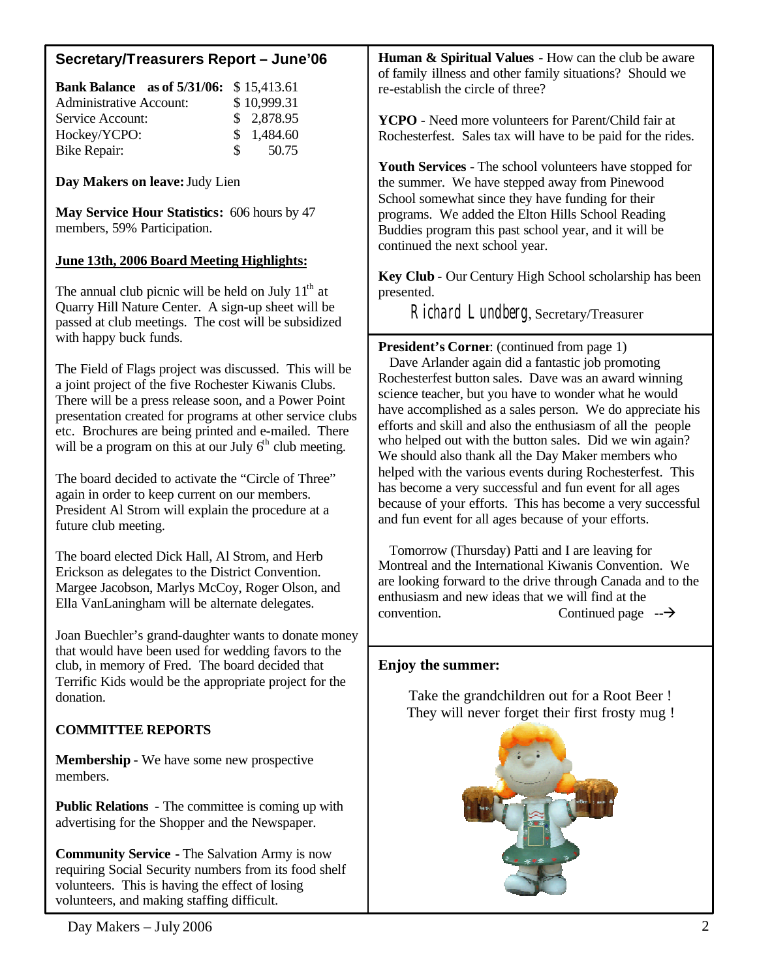## **Secretary/Treasurers Report – June'06**

| <b>Bank Balance</b> as of 5/31/06: \$15,413.61 |               |             |
|------------------------------------------------|---------------|-------------|
| <b>Administrative Account:</b>                 |               | \$10,999.31 |
| Service Account:                               |               | \$2,878.95  |
| Hockey/YCPO:                                   |               | \$1,484.60  |
| Bike Repair:                                   | $\mathcal{S}$ | 50.75       |

**Day Makers on leave:** Judy Lien

**May Service Hour Statistics:** 606 hours by 47 members, 59% Participation.

## **June 13th, 2006 Board Meeting Highlights:**

The annual club picnic will be held on July  $11<sup>th</sup>$  at Quarry Hill Nature Center. A sign-up sheet will be passed at club meetings. The cost will be subsidized with happy buck funds.

The Field of Flags project was discussed. This will be a joint project of the five Rochester Kiwanis Clubs. There will be a press release soon, and a Power Point presentation created for programs at other service clubs etc. Brochures are being printed and e-mailed. There will be a program on this at our July  $6<sup>th</sup>$  club meeting.

The board decided to activate the "Circle of Three" again in order to keep current on our members. President Al Strom will explain the procedure at a future club meeting.

The board elected Dick Hall, Al Strom, and Herb Erickson as delegates to the District Convention. Margee Jacobson, Marlys McCoy, Roger Olson, and Ella VanLaningham will be alternate delegates.

Joan Buechler's grand-daughter wants to donate money that would have been used for wedding favors to the club, in memory of Fred. The board decided that Terrific Kids would be the appropriate project for the donation.

## **COMMITTEE REPORTS**

**Membership** - We have some new prospective members.

**Public Relations** - The committee is coming up with advertising for the Shopper and the Newspaper.

**Community Service -** The Salvation Army is now requiring Social Security numbers from its food shelf volunteers. This is having the effect of losing volunteers, and making staffing difficult.

**Human & Spiritual Values** - How can the club be aware of family illness and other family situations? Should we re-establish the circle of three?

**YCPO** - Need more volunteers for Parent/Child fair at Rochesterfest. Sales tax will have to be paid for the rides.

**Youth Services** - The school volunteers have stopped for the summer. We have stepped away from Pinewood School somewhat since they have funding for their programs. We added the Elton Hills School Reading Buddies program this past school year, and it will be continued the next school year.

**Key Club** - Our Century High School scholarship has been presented.

Richard Lundberg, Secretary/Treasurer

**President's Corner**: (continued from page 1) Dave Arlander again did a fantastic job promoting Rochesterfest button sales. Dave was an award winning science teacher, but you have to wonder what he would have accomplished as a sales person. We do appreciate his efforts and skill and also the enthusiasm of all the people who helped out with the button sales. Did we win again? We should also thank all the Day Maker members who helped with the various events during Rochesterfest. This has become a very successful and fun event for all ages because of your efforts. This has become a very successful and fun event for all ages because of your efforts.

 Tomorrow (Thursday) Patti and I are leaving for Montreal and the International Kiwanis Convention. We are looking forward to the drive through Canada and to the enthusiasm and new ideas that we will find at the  $\alpha$  convention. Continued page  $-\rightarrow$ 

## **Enjoy the summer:**

l

Take the grandchildren out for a Root Beer ! They will never forget their first frosty mug !